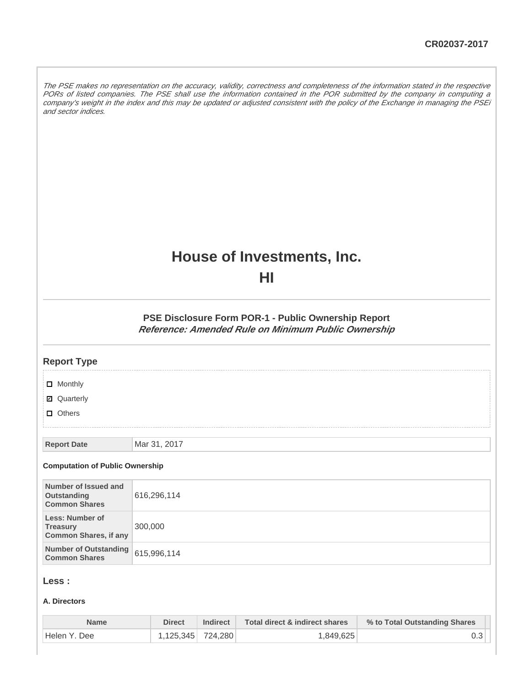The PSE makes no representation on the accuracy, validity, correctness and completeness of the information stated in the respective PORs of listed companies. The PSE shall use the information contained in the POR submitted by the company in computing a company's weight in the index and this may be updated or adjusted consistent with the policy of the Exchange in managing the PSEi and sector indices.

# **House of Investments, Inc.**

**HI**

**PSE Disclosure Form POR-1 - Public Ownership Report Reference: Amended Rule on Minimum Public Ownership**

| <b>Report Type</b>                                                        |              |
|---------------------------------------------------------------------------|--------------|
| <b>D</b> Monthly                                                          |              |
| <b>Ø</b> Quarterly                                                        |              |
| $\Box$ Others                                                             |              |
| <b>Report Date</b>                                                        | Mar 31, 2017 |
| <b>Computation of Public Ownership</b>                                    |              |
| Number of Issued and<br>Outstanding<br><b>Common Shares</b>               | 616,296,114  |
| <b>Less: Number of</b><br><b>Treasury</b><br><b>Common Shares, if any</b> | 300,000      |
| <b>Number of Outstanding</b><br><b>Common Shares</b>                      | 615,996,114  |
|                                                                           |              |

## **Less :**

#### **A. Directors**

| Name          | Direct            | <b>Indirect</b> | Total direct & indirect shares | % to Total Outstanding Shares |
|---------------|-------------------|-----------------|--------------------------------|-------------------------------|
| 'Helen Y. Dee | 1.125.345 724.280 |                 | 1,849,625                      |                               |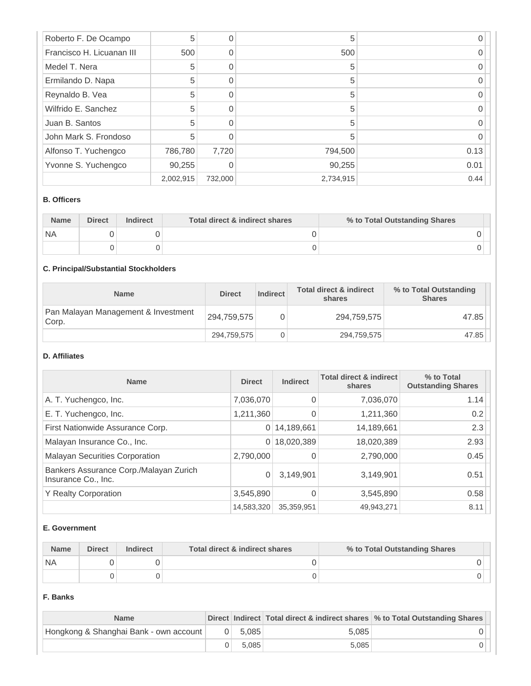| Roberto F. De Ocampo      | 5         | 0        | 5         |      |
|---------------------------|-----------|----------|-----------|------|
| Francisco H. Licuanan III | 500       | 0        | 500       |      |
| Medel T. Nera             | 5         | $\Omega$ | 5         |      |
| Ermilando D. Napa         | 5         | 0        | 5         |      |
| Reynaldo B. Vea           | 5         | $\Omega$ | 5         |      |
| Wilfrido E. Sanchez       | 5         |          | 5         |      |
| Juan B. Santos            | 5         | $\Omega$ | 5         |      |
| John Mark S. Frondoso     | 5         | ∩        | 5         |      |
| Alfonso T. Yuchengco      | 786,780   | 7,720    | 794,500   | 0.13 |
| Yvonne S. Yuchengco       | 90,255    | 0        | 90,255    | 0.01 |
|                           | 2,002,915 | 732,000  | 2,734,915 | 0.44 |

#### **B. Officers**

| <b>Name</b> | <b>Direct</b> | <b>Indirect</b> | Total direct & indirect shares | % to Total Outstanding Shares |
|-------------|---------------|-----------------|--------------------------------|-------------------------------|
| `NA         |               |                 |                                |                               |
|             |               |                 |                                |                               |

# **C. Principal/Substantial Stockholders**

| <b>Name</b>                                  | <b>Direct</b> | Indirect | <b>Total direct &amp; indirect</b><br>shares | % to Total Outstanding<br><b>Shares</b> |
|----------------------------------------------|---------------|----------|----------------------------------------------|-----------------------------------------|
| Pan Malayan Management & Investment<br>Corp. | 294,759,575   |          | 294,759,575                                  | 47.85                                   |
|                                              | 294,759,575   |          | 294,759,575                                  | 47.85                                   |

## **D. Affiliates**

| <b>Name</b>                                                   | <b>Direct</b> | <b>Indirect</b> | <b>Total direct &amp; indirect</b><br>shares | % to Total<br><b>Outstanding Shares</b> |
|---------------------------------------------------------------|---------------|-----------------|----------------------------------------------|-----------------------------------------|
| A. T. Yuchengco, Inc.                                         | 7,036,070     | $\Omega$        | 7,036,070                                    | 1.14                                    |
| E. T. Yuchengco, Inc.                                         | 1,211,360     | 0               | 1,211,360                                    | 0.2                                     |
| First Nationwide Assurance Corp.                              | 0             | 14,189,661      | 14,189,661                                   | 2.3                                     |
| Malayan Insurance Co., Inc.                                   | 0             | 18,020,389      | 18,020,389                                   | 2.93                                    |
| <b>Malayan Securities Corporation</b>                         | 2,790,000     |                 | 2,790,000                                    | 0.45                                    |
| Bankers Assurance Corp./Malayan Zurich<br>Insurance Co., Inc. | 0             | 3,149,901       | 3,149,901                                    | 0.51                                    |
| <b>Y Realty Corporation</b>                                   | 3,545,890     |                 | 3,545,890                                    | 0.58                                    |
|                                                               | 14,583,320    | 35,359,951      | 49,943,271                                   | 8.11                                    |

#### **E. Government**

| <b>Name</b> | <b>Direct</b> | <b>Indirect</b> | Total direct & indirect shares | % to Total Outstanding Shares |  |
|-------------|---------------|-----------------|--------------------------------|-------------------------------|--|
| `NA         |               |                 |                                |                               |  |
|             |               |                 |                                |                               |  |

#### **F. Banks**

| <b>Name</b>                            |           |       | Direct Indirect Total direct & indirect shares % to Total Outstanding Shares |
|----------------------------------------|-----------|-------|------------------------------------------------------------------------------|
| Hongkong & Shanghai Bank - own account | $0$ 5.085 | 5.085 |                                                                              |
|                                        | 5.085     | 5.085 |                                                                              |